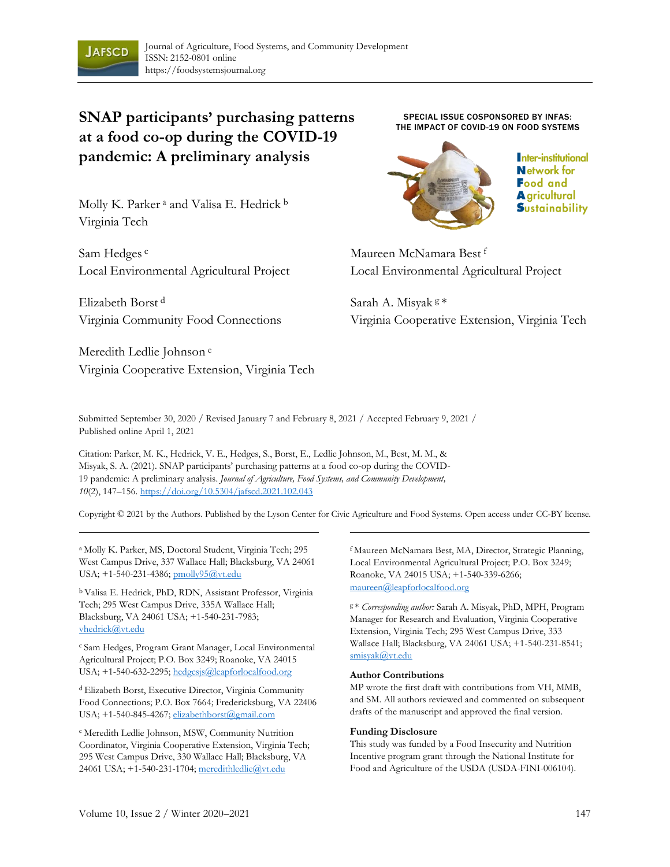

# **SNAP participants' purchasing patterns at a food co-op during the COVID-19 pandemic: A preliminary analysis**

Molly K. Parker<sup>a</sup> and Valisa E. Hedrick<sup>b</sup> Virginia Tech

Sam Hedges<sup>c</sup> Local Environmental Agricultural Project

Elizabeth Borst <sup>d</sup> Virginia Community Food Connections

Meredith Ledlie Johnson <sup>e</sup> Virginia Cooperative Extension, Virginia Tech

SPECIAL ISSUE COSPONSORED BY INFAS: THE IMPACT OF COVID-19 ON FOOD SYSTEMS



Inter-institutional **Network** for **Food and A** gricultural **Sustainability** 

Maureen McNamara Best <sup>f</sup> Local Environmental Agricultural Project

Sarah A. Misyak <sup>g</sup>\* Virginia Cooperative Extension, Virginia Tech

Submitted September 30, 2020 / Revised January 7 and February 8, 2021 / Accepted February 9, 2021 / Published online April 1, 2021

Citation: Parker, M. K., Hedrick, V. E., Hedges, S., Borst, E., Ledlie Johnson, M., Best, M. M., & Misyak, S. A. (2021). SNAP participants' purchasing patterns at a food co-op during the COVID-19 pandemic: A preliminary analysis. *Journal of Agriculture, Food Systems, and Community Development, 10*(2), 147–156. https://doi.org/10.5304/jafscd.2021.102.043

Copyright © 2021 by the Authors. Published by the Lyson Center for Civic Agriculture and Food Systems. Open access under CC-BY license.

<sup>a</sup> Molly K. Parker, MS, Doctoral Student, Virginia Tech; 295 West Campus Drive, 337 Wallace Hall; Blacksburg, VA 24061 USA; +1-540-231-4386; pmolly95@vt.edu

<sup>b</sup>Valisa E. Hedrick, PhD, RDN, Assistant Professor, Virginia Tech; 295 West Campus Drive, 335A Wallace Hall; Blacksburg, VA 24061 USA; +1-540-231-7983; vhedrick@vt.edu

<sup>c</sup> Sam Hedges, Program Grant Manager, Local Environmental Agricultural Project; P.O. Box 3249; Roanoke, VA 24015 USA; +1-540-632-2295; hedgesjs@leapforlocalfood.org

<sup>d</sup>Elizabeth Borst, Executive Director, Virginia Community Food Connections; P.O. Box 7664; Fredericksburg, VA 22406 USA; +1-540-845-4267; elizabethborst@gmail.com

e Meredith Ledlie Johnson, MSW, Community Nutrition Coordinator, Virginia Cooperative Extension, Virginia Tech; 295 West Campus Drive, 330 Wallace Hall; Blacksburg, VA 24061 USA; +1-540-231-1704; meredithledlie@vt.edu

f Maureen McNamara Best, MA, Director, Strategic Planning, Local Environmental Agricultural Project; P.O. Box 3249; Roanoke, VA 24015 USA; +1-540-339-6266; maureen@leapforlocalfood.org

<sup>g</sup>\* *Corresponding author:* Sarah A. Misyak, PhD, MPH, Program Manager for Research and Evaluation, Virginia Cooperative Extension, Virginia Tech; 295 West Campus Drive, 333 Wallace Hall; Blacksburg, VA 24061 USA; +1-540-231-8541; smisyak@vt.edu

#### **Author Contributions**

MP wrote the first draft with contributions from VH, MMB, and SM. All authors reviewed and commented on subsequent drafts of the manuscript and approved the final version.

#### **Funding Disclosure**

This study was funded by a Food Insecurity and Nutrition Incentive program grant through the National Institute for Food and Agriculture of the USDA (USDA-FINI-006104).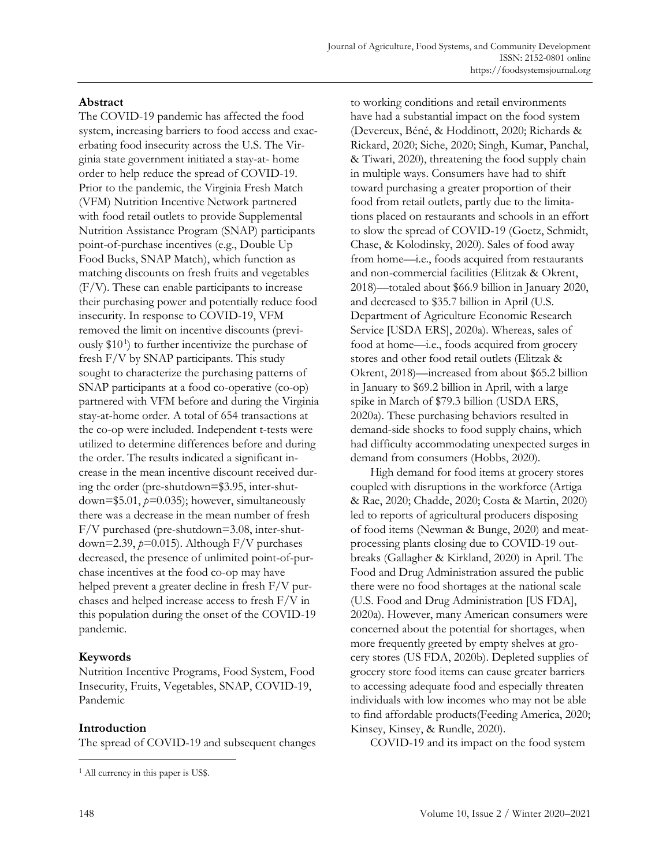### **Abstract**

The COVID-19 pandemic has affected the food system, increasing barriers to food access and exacerbating food insecurity across the U.S. The Virginia state government initiated a stay-at- home order to help reduce the spread of COVID-19. Prior to the pandemic, the Virginia Fresh Match (VFM) Nutrition Incentive Network partnered with food retail outlets to provide Supplemental Nutrition Assistance Program (SNAP) participants point-of-purchase incentives (e.g., Double Up Food Bucks, SNAP Match), which function as matching discounts on fresh fruits and vegetables (F/V). These can enable participants to increase their purchasing power and potentially reduce food insecurity. In response to COVID-19, VFM removed the limit on incentive discounts (previously \$10 1 ) to further incentivize the purchase of fresh F/V by SNAP participants. This study sought to characterize the purchasing patterns of SNAP participants at a food co-operative (co-op) partnered with VFM before and during the Virginia stay-at-home order. A total of 654 transactions at the co-op were included. Independent t-tests were utilized to determine differences before and during the order. The results indicated a significant increase in the mean incentive discount received during the order (pre-shutdown=\$3.95, inter-shutdown=\$5.01, *p=*0.035); however, simultaneously there was a decrease in the mean number of fresh F/V purchased (pre-shutdown=3.08, inter-shutdown=2.39, *p=*0.015). Although F/V purchases decreased, the presence of unlimited point-of-purchase incentives at the food co-op may have helped prevent a greater decline in fresh F/V purchases and helped increase access to fresh F/V in this population during the onset of the COVID-19 pandemic.

# **Keywords**

Nutrition Incentive Programs, Food System, Food Insecurity, Fruits, Vegetables, SNAP, COVID-19, Pandemic

### **Introduction**

The spread of COVID-19 and subsequent changes

to working conditions and retail environments have had a substantial impact on the food system (Devereux, Béné, & Hoddinott, 2020; Richards & Rickard, 2020; Siche, 2020; Singh, Kumar, Panchal, & Tiwari, 2020), threatening the food supply chain in multiple ways. Consumers have had to shift toward purchasing a greater proportion of their food from retail outlets, partly due to the limitations placed on restaurants and schools in an effort to slow the spread of COVID-19 (Goetz, Schmidt, Chase, & Kolodinsky, 2020). Sales of food away from home—i.e., foods acquired from restaurants and non-commercial facilities (Elitzak & Okrent, 2018)—totaled about \$66.9 billion in January 2020, and decreased to \$35.7 billion in April (U.S. Department of Agriculture Economic Research Service [USDA ERS], 2020a). Whereas, sales of food at home—i.e., foods acquired from grocery stores and other food retail outlets (Elitzak & Okrent, 2018)—increased from about \$65.2 billion in January to \$69.2 billion in April, with a large spike in March of \$79.3 billion (USDA ERS, 2020a). These purchasing behaviors resulted in demand-side shocks to food supply chains, which had difficulty accommodating unexpected surges in demand from consumers (Hobbs, 2020).

High demand for food items at grocery stores coupled with disruptions in the workforce (Artiga & Rae, 2020; Chadde, 2020; Costa & Martin, 2020) led to reports of agricultural producers disposing of food items (Newman & Bunge, 2020) and meatprocessing plants closing due to COVID-19 outbreaks (Gallagher & Kirkland, 2020) in April. The Food and Drug Administration assured the public there were no food shortages at the national scale (U.S. Food and Drug Administration [US FDA], 2020a). However, many American consumers were concerned about the potential for shortages, when more frequently greeted by empty shelves at grocery stores (US FDA, 2020b). Depleted supplies of grocery store food items can cause greater barriers to accessing adequate food and especially threaten individuals with low incomes who may not be able to find affordable products(Feeding America, 2020; Kinsey, Kinsey, & Rundle, 2020).

COVID-19 and its impact on the food system

<sup>&</sup>lt;sup>1</sup> All currency in this paper is US\$.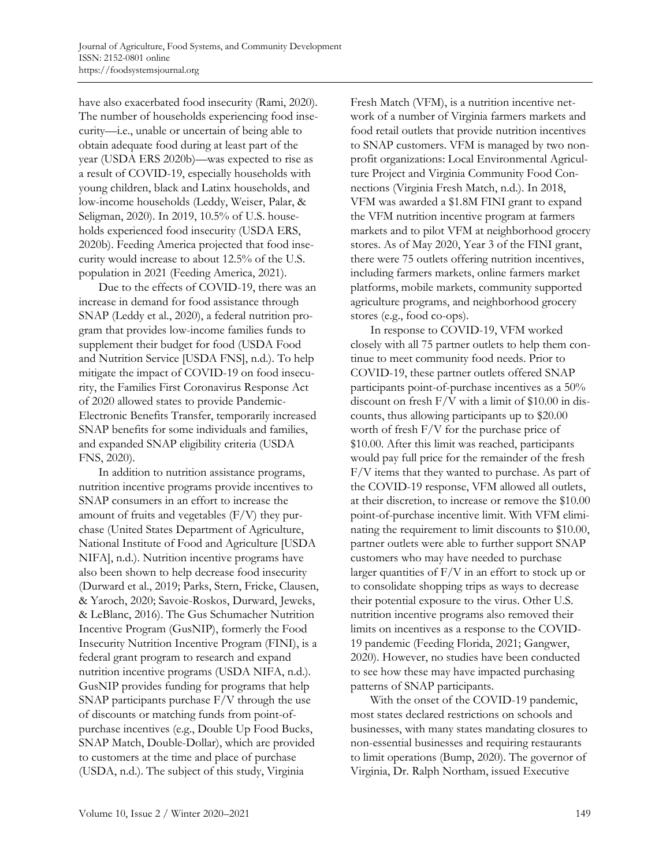have also exacerbated food insecurity (Rami, 2020). The number of households experiencing food insecurity—i.e., unable or uncertain of being able to obtain adequate food during at least part of the year (USDA ERS 2020b)—was expected to rise as a result of COVID-19, especially households with young children, black and Latinx households, and low-income households (Leddy, Weiser, Palar, & Seligman, 2020). In 2019, 10.5% of U.S. households experienced food insecurity (USDA ERS, 2020b). Feeding America projected that food insecurity would increase to about 12.5% of the U.S. population in 2021 (Feeding America, 2021).

Due to the effects of COVID-19, there was an increase in demand for food assistance through SNAP (Leddy et al., 2020), a federal nutrition program that provides low-income families funds to supplement their budget for food (USDA Food and Nutrition Service [USDA FNS], n.d.). To help mitigate the impact of COVID-19 on food insecurity, the Families First Coronavirus Response Act of 2020 allowed states to provide Pandemic-Electronic Benefits Transfer, temporarily increased SNAP benefits for some individuals and families, and expanded SNAP eligibility criteria (USDA FNS, 2020).

In addition to nutrition assistance programs, nutrition incentive programs provide incentives to SNAP consumers in an effort to increase the amount of fruits and vegetables (F/V) they purchase (United States Department of Agriculture, National Institute of Food and Agriculture [USDA NIFA], n.d.). Nutrition incentive programs have also been shown to help decrease food insecurity (Durward et al., 2019; Parks, Stern, Fricke, Clausen, & Yaroch, 2020; Savoie-Roskos, Durward, Jeweks, & LeBlanc, 2016). The Gus Schumacher Nutrition Incentive Program (GusNIP), formerly the Food Insecurity Nutrition Incentive Program (FINI), is a federal grant program to research and expand nutrition incentive programs (USDA NIFA, n.d.). GusNIP provides funding for programs that help SNAP participants purchase F/V through the use of discounts or matching funds from point-ofpurchase incentives (e.g., Double Up Food Bucks, SNAP Match, Double-Dollar), which are provided to customers at the time and place of purchase (USDA, n.d.). The subject of this study, Virginia

Fresh Match (VFM), is a nutrition incentive network of a number of Virginia farmers markets and food retail outlets that provide nutrition incentives to SNAP customers. VFM is managed by two nonprofit organizations: Local Environmental Agriculture Project and Virginia Community Food Connections (Virginia Fresh Match, n.d.). In 2018, VFM was awarded a \$1.8M FINI grant to expand the VFM nutrition incentive program at farmers markets and to pilot VFM at neighborhood grocery stores. As of May 2020, Year 3 of the FINI grant, there were 75 outlets offering nutrition incentives, including farmers markets, online farmers market platforms, mobile markets, community supported agriculture programs, and neighborhood grocery stores (e.g., food co-ops).

In response to COVID-19, VFM worked closely with all 75 partner outlets to help them continue to meet community food needs. Prior to COVID-19, these partner outlets offered SNAP participants point-of-purchase incentives as a 50% discount on fresh F/V with a limit of \$10.00 in discounts, thus allowing participants up to \$20.00 worth of fresh F/V for the purchase price of \$10.00. After this limit was reached, participants would pay full price for the remainder of the fresh F/V items that they wanted to purchase. As part of the COVID-19 response, VFM allowed all outlets, at their discretion, to increase or remove the \$10.00 point-of-purchase incentive limit. With VFM eliminating the requirement to limit discounts to \$10.00, partner outlets were able to further support SNAP customers who may have needed to purchase larger quantities of F/V in an effort to stock up or to consolidate shopping trips as ways to decrease their potential exposure to the virus. Other U.S. nutrition incentive programs also removed their limits on incentives as a response to the COVID-19 pandemic (Feeding Florida, 2021; Gangwer, 2020). However, no studies have been conducted to see how these may have impacted purchasing patterns of SNAP participants.

With the onset of the COVID-19 pandemic, most states declared restrictions on schools and businesses, with many states mandating closures to non-essential businesses and requiring restaurants to limit operations (Bump, 2020). The governor of Virginia, Dr. Ralph Northam, issued Executive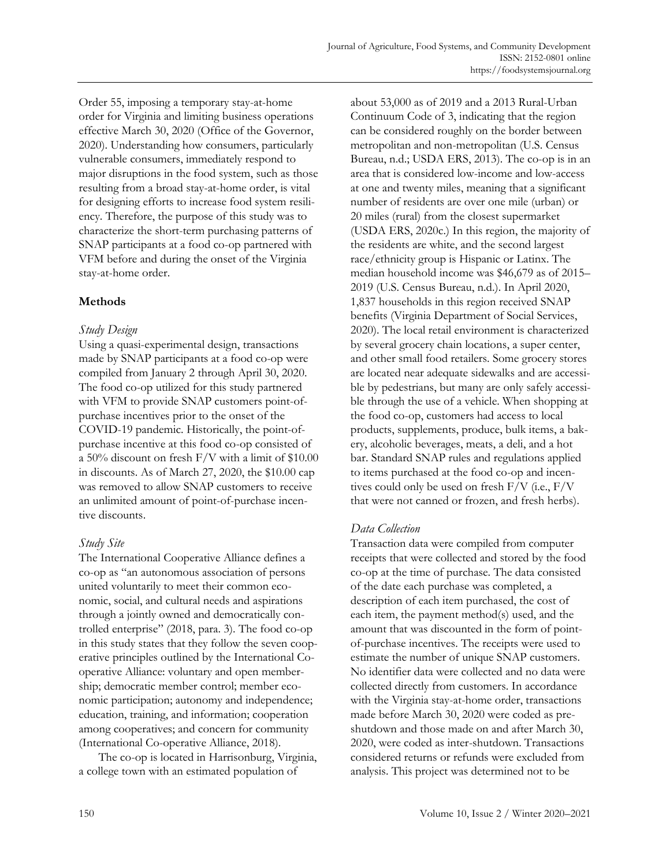Order 55, imposing a temporary stay-at-home order for Virginia and limiting business operations effective March 30, 2020 (Office of the Governor, 2020). Understanding how consumers, particularly vulnerable consumers, immediately respond to major disruptions in the food system, such as those resulting from a broad stay-at-home order, is vital for designing efforts to increase food system resiliency. Therefore, the purpose of this study was to characterize the short-term purchasing patterns of SNAP participants at a food co-op partnered with VFM before and during the onset of the Virginia stay-at-home order.

# **Methods**

### *Study Design*

Using a quasi-experimental design, transactions made by SNAP participants at a food co-op were compiled from January 2 through April 30, 2020. The food co-op utilized for this study partnered with VFM to provide SNAP customers point-ofpurchase incentives prior to the onset of the COVID-19 pandemic. Historically, the point-ofpurchase incentive at this food co-op consisted of a 50% discount on fresh F/V with a limit of \$10.00 in discounts. As of March 27, 2020, the \$10.00 cap was removed to allow SNAP customers to receive an unlimited amount of point-of-purchase incentive discounts.

# *Study Site*

The International Cooperative Alliance defines a co-op as "an autonomous association of persons united voluntarily to meet their common economic, social, and cultural needs and aspirations through a jointly owned and democratically controlled enterprise" (2018, para. 3). The food co-op in this study states that they follow the seven cooperative principles outlined by the International Cooperative Alliance: voluntary and open membership; democratic member control; member economic participation; autonomy and independence; education, training, and information; cooperation among cooperatives; and concern for community (International Co-operative Alliance, 2018).

The co-op is located in Harrisonburg, Virginia, a college town with an estimated population of

about 53,000 as of 2019 and a 2013 Rural-Urban Continuum Code of 3, indicating that the region can be considered roughly on the border between metropolitan and non-metropolitan (U.S. Census Bureau, n.d.; USDA ERS, 2013). The co-op is in an area that is considered low-income and low-access at one and twenty miles, meaning that a significant number of residents are over one mile (urban) or 20 miles (rural) from the closest supermarket (USDA ERS, 2020c.) In this region, the majority of the residents are white, and the second largest race/ethnicity group is Hispanic or Latinx. The median household income was \$46,679 as of 2015– 2019 (U.S. Census Bureau, n.d.). In April 2020, 1,837 households in this region received SNAP benefits (Virginia Department of Social Services, 2020). The local retail environment is characterized by several grocery chain locations, a super center, and other small food retailers. Some grocery stores are located near adequate sidewalks and are accessible by pedestrians, but many are only safely accessible through the use of a vehicle. When shopping at the food co-op, customers had access to local products, supplements, produce, bulk items, a bakery, alcoholic beverages, meats, a deli, and a hot bar. Standard SNAP rules and regulations applied to items purchased at the food co-op and incentives could only be used on fresh F/V (i.e., F/V that were not canned or frozen, and fresh herbs).

# *Data Collection*

Transaction data were compiled from computer receipts that were collected and stored by the food co-op at the time of purchase. The data consisted of the date each purchase was completed, a description of each item purchased, the cost of each item, the payment method(s) used, and the amount that was discounted in the form of pointof-purchase incentives. The receipts were used to estimate the number of unique SNAP customers. No identifier data were collected and no data were collected directly from customers. In accordance with the Virginia stay-at-home order, transactions made before March 30, 2020 were coded as preshutdown and those made on and after March 30, 2020, were coded as inter-shutdown. Transactions considered returns or refunds were excluded from analysis. This project was determined not to be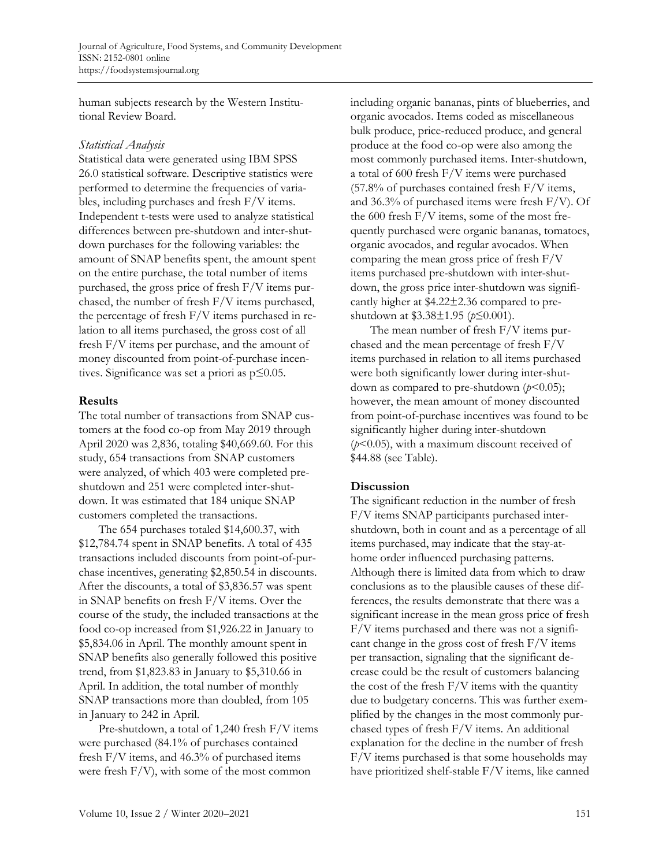human subjects research by the Western Institutional Review Board.

#### *Statistical Analysis*

Statistical data were generated using IBM SPSS 26.0 statistical software. Descriptive statistics were performed to determine the frequencies of variables, including purchases and fresh F/V items. Independent t-tests were used to analyze statistical differences between pre-shutdown and inter-shutdown purchases for the following variables: the amount of SNAP benefits spent, the amount spent on the entire purchase, the total number of items purchased, the gross price of fresh F/V items purchased, the number of fresh F/V items purchased, the percentage of fresh F/V items purchased in relation to all items purchased, the gross cost of all fresh F/V items per purchase, and the amount of money discounted from point-of-purchase incentives. Significance was set a priori as p≤0.05.

#### **Results**

The total number of transactions from SNAP customers at the food co-op from May 2019 through April 2020 was 2,836, totaling \$40,669.60. For this study, 654 transactions from SNAP customers were analyzed, of which 403 were completed preshutdown and 251 were completed inter-shutdown. It was estimated that 184 unique SNAP customers completed the transactions.

The 654 purchases totaled \$14,600.37, with \$12,784.74 spent in SNAP benefits. A total of 435 transactions included discounts from point-of-purchase incentives, generating \$2,850.54 in discounts. After the discounts, a total of \$3,836.57 was spent in SNAP benefits on fresh F/V items. Over the course of the study, the included transactions at the food co-op increased from \$1,926.22 in January to \$5,834.06 in April. The monthly amount spent in SNAP benefits also generally followed this positive trend, from \$1,823.83 in January to \$5,310.66 in April. In addition, the total number of monthly SNAP transactions more than doubled, from 105 in January to 242 in April.

Pre-shutdown, a total of 1,240 fresh F/V items were purchased (84.1% of purchases contained fresh F/V items, and 46.3% of purchased items were fresh F/V), with some of the most common

including organic bananas, pints of blueberries, and organic avocados. Items coded as miscellaneous bulk produce, price-reduced produce, and general produce at the food co-op were also among the most commonly purchased items. Inter-shutdown, a total of 600 fresh F/V items were purchased (57.8% of purchases contained fresh F/V items, and 36.3% of purchased items were fresh F/V). Of the 600 fresh F/V items, some of the most frequently purchased were organic bananas, tomatoes, organic avocados, and regular avocados. When comparing the mean gross price of fresh F/V items purchased pre-shutdown with inter-shutdown, the gross price inter-shutdown was significantly higher at \$4.22±2.36 compared to preshutdown at \$3.38±1.95 (*p*≤0.001).

The mean number of fresh F/V items purchased and the mean percentage of fresh F/V items purchased in relation to all items purchased were both significantly lower during inter-shutdown as compared to pre-shutdown (*p*<0.05); however, the mean amount of money discounted from point-of-purchase incentives was found to be significantly higher during inter-shutdown (*p*<0.05), with a maximum discount received of \$44.88 (see Table).

### **Discussion**

The significant reduction in the number of fresh F/V items SNAP participants purchased intershutdown, both in count and as a percentage of all items purchased, may indicate that the stay-athome order influenced purchasing patterns. Although there is limited data from which to draw conclusions as to the plausible causes of these differences, the results demonstrate that there was a significant increase in the mean gross price of fresh F/V items purchased and there was not a significant change in the gross cost of fresh F/V items per transaction, signaling that the significant decrease could be the result of customers balancing the cost of the fresh  $F/V$  items with the quantity due to budgetary concerns. This was further exemplified by the changes in the most commonly purchased types of fresh F/V items. An additional explanation for the decline in the number of fresh F/V items purchased is that some households may have prioritized shelf-stable F/V items, like canned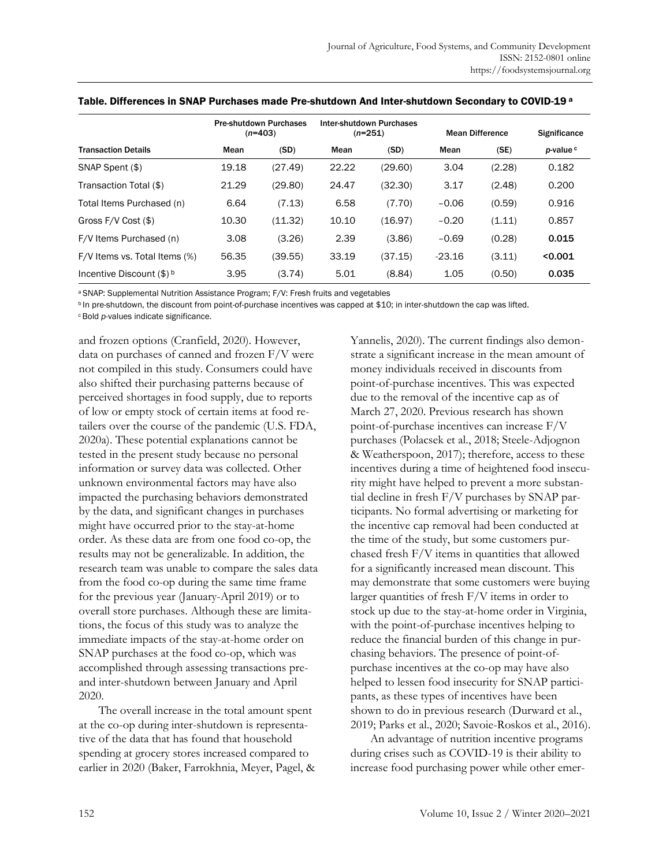|                               | <b>Pre-shutdown Purchases</b><br>$(n=403)$ |         | Inter-shutdown Purchases<br>$(n=251)$ |         | <b>Mean Difference</b> |        | <b>Significance</b>  |
|-------------------------------|--------------------------------------------|---------|---------------------------------------|---------|------------------------|--------|----------------------|
| <b>Transaction Details</b>    | Mean                                       | (SD)    | Mean                                  | (SD)    | Mean                   | (SE)   | p-value <sup>c</sup> |
| SNAP Spent (\$)               | 19.18                                      | (27.49) | 22.22                                 | (29.60) | 3.04                   | (2.28) | 0.182                |
| Transaction Total (\$)        | 21.29                                      | (29.80) | 24.47                                 | (32.30) | 3.17                   | (2.48) | 0.200                |
| Total Items Purchased (n)     | 6.64                                       | (7.13)  | 6.58                                  | (7.70)  | $-0.06$                | (0.59) | 0.916                |
| Gross $F/V$ Cost $(\$)$       | 10.30                                      | (11.32) | 10.10                                 | (16.97) | $-0.20$                | (1.11) | 0.857                |
| F/V Items Purchased (n)       | 3.08                                       | (3.26)  | 2.39                                  | (3.86)  | $-0.69$                | (0.28) | 0.015                |
| F/V Items vs. Total Items (%) | 56.35                                      | (39.55) | 33.19                                 | (37.15) | $-23.16$               | (3.11) | < 0.001              |
| Incentive Discount $(\$)^b$   | 3.95                                       | (3.74)  | 5.01                                  | (8.84)  | 1.05                   | (0.50) | 0.035                |

Table. Differences in SNAP Purchases made Pre-shutdown And Inter-shutdown Secondary to COVID-19 <sup>a</sup>

<sup>a</sup>SNAP: Supplemental Nutrition Assistance Program; F/V: Fresh fruits and vegetables

<sup>b</sup> In pre-shutdown, the discount from point-of-purchase incentives was capped at \$10; in inter-shutdown the cap was lifted.

c Bold *p*-values indicate significance.

and frozen options (Cranfield, 2020). However, data on purchases of canned and frozen F/V were not compiled in this study. Consumers could have also shifted their purchasing patterns because of perceived shortages in food supply, due to reports of low or empty stock of certain items at food retailers over the course of the pandemic (U.S. FDA, 2020a). These potential explanations cannot be tested in the present study because no personal information or survey data was collected. Other unknown environmental factors may have also impacted the purchasing behaviors demonstrated by the data, and significant changes in purchases might have occurred prior to the stay-at-home order. As these data are from one food co-op, the results may not be generalizable. In addition, the research team was unable to compare the sales data from the food co-op during the same time frame for the previous year (January-April 2019) or to overall store purchases. Although these are limitations, the focus of this study was to analyze the immediate impacts of the stay-at-home order on SNAP purchases at the food co-op, which was accomplished through assessing transactions preand inter-shutdown between January and April 2020.

The overall increase in the total amount spent at the co-op during inter-shutdown is representative of the data that has found that household spending at grocery stores increased compared to earlier in 2020 (Baker, Farrokhnia, Meyer, Pagel, & Yannelis, 2020). The current findings also demonstrate a significant increase in the mean amount of money individuals received in discounts from point-of-purchase incentives. This was expected due to the removal of the incentive cap as of March 27, 2020. Previous research has shown point-of-purchase incentives can increase F/V purchases (Polacsek et al., 2018; Steele-Adjognon & Weatherspoon, 2017); therefore, access to these incentives during a time of heightened food insecurity might have helped to prevent a more substantial decline in fresh F/V purchases by SNAP participants. No formal advertising or marketing for the incentive cap removal had been conducted at the time of the study, but some customers purchased fresh F/V items in quantities that allowed for a significantly increased mean discount. This may demonstrate that some customers were buying larger quantities of fresh F/V items in order to stock up due to the stay-at-home order in Virginia, with the point-of-purchase incentives helping to reduce the financial burden of this change in purchasing behaviors. The presence of point-ofpurchase incentives at the co-op may have also helped to lessen food insecurity for SNAP participants, as these types of incentives have been shown to do in previous research (Durward et al., 2019; Parks et al., 2020; Savoie-Roskos et al., 2016).

An advantage of nutrition incentive programs during crises such as COVID-19 is their ability to increase food purchasing power while other emer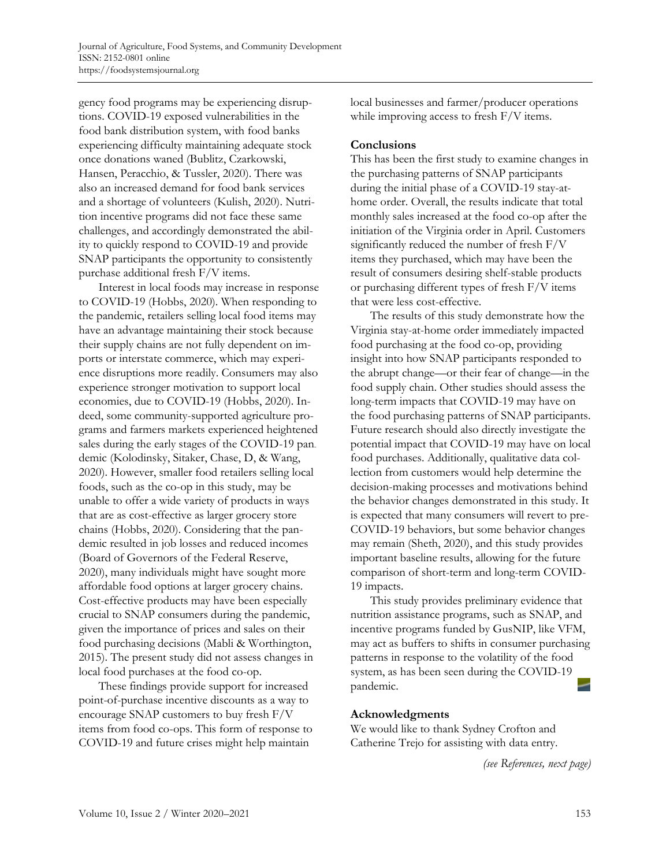gency food programs may be experiencing disruptions. COVID-19 exposed vulnerabilities in the food bank distribution system, with food banks experiencing difficulty maintaining adequate stock once donations waned (Bublitz, Czarkowski, Hansen, Peracchio, & Tussler, 2020). There was also an increased demand for food bank services and a shortage of volunteers (Kulish, 2020). Nutrition incentive programs did not face these same challenges, and accordingly demonstrated the ability to quickly respond to COVID-19 and provide SNAP participants the opportunity to consistently purchase additional fresh F/V items.

Interest in local foods may increase in response to COVID-19 (Hobbs, 2020). When responding to the pandemic, retailers selling local food items may have an advantage maintaining their stock because their supply chains are not fully dependent on imports or interstate commerce, which may experience disruptions more readily. Consumers may also experience stronger motivation to support local economies, due to COVID-19 (Hobbs, 2020). Indeed, some community-supported agriculture programs and farmers markets experienced heightened sales during the early stages of the COVID-19 pandemic (Kolodinsky, Sitaker, Chase, D, & Wang, 2020). However, smaller food retailers selling local foods, such as the co-op in this study, may be unable to offer a wide variety of products in ways that are as cost-effective as larger grocery store chains (Hobbs, 2020). Considering that the pandemic resulted in job losses and reduced incomes (Board of Governors of the Federal Reserve, 2020), many individuals might have sought more affordable food options at larger grocery chains. Cost-effective products may have been especially crucial to SNAP consumers during the pandemic, given the importance of prices and sales on their food purchasing decisions (Mabli & Worthington, 2015). The present study did not assess changes in local food purchases at the food co-op.

These findings provide support for increased point-of-purchase incentive discounts as a way to encourage SNAP customers to buy fresh F/V items from food co-ops. This form of response to COVID-19 and future crises might help maintain

local businesses and farmer/producer operations while improving access to fresh  $F/V$  items.

#### **Conclusions**

This has been the first study to examine changes in the purchasing patterns of SNAP participants during the initial phase of a COVID-19 stay-athome order. Overall, the results indicate that total monthly sales increased at the food co-op after the initiation of the Virginia order in April. Customers significantly reduced the number of fresh F/V items they purchased, which may have been the result of consumers desiring shelf-stable products or purchasing different types of fresh F/V items that were less cost-effective.

The results of this study demonstrate how the Virginia stay-at-home order immediately impacted food purchasing at the food co-op, providing insight into how SNAP participants responded to the abrupt change—or their fear of change—in the food supply chain. Other studies should assess the long-term impacts that COVID-19 may have on the food purchasing patterns of SNAP participants. Future research should also directly investigate the potential impact that COVID-19 may have on local food purchases. Additionally, qualitative data collection from customers would help determine the decision-making processes and motivations behind the behavior changes demonstrated in this study. It is expected that many consumers will revert to pre-COVID-19 behaviors, but some behavior changes may remain (Sheth, 2020), and this study provides important baseline results, allowing for the future comparison of short-term and long-term COVID-19 impacts.

This study provides preliminary evidence that nutrition assistance programs, such as SNAP, and incentive programs funded by GusNIP, like VFM, may act as buffers to shifts in consumer purchasing patterns in response to the volatility of the food system, as has been seen during the COVID-19 pandemic.

#### **Acknowledgments**

We would like to thank Sydney Crofton and Catherine Trejo for assisting with data entry.

*(see References, next page)*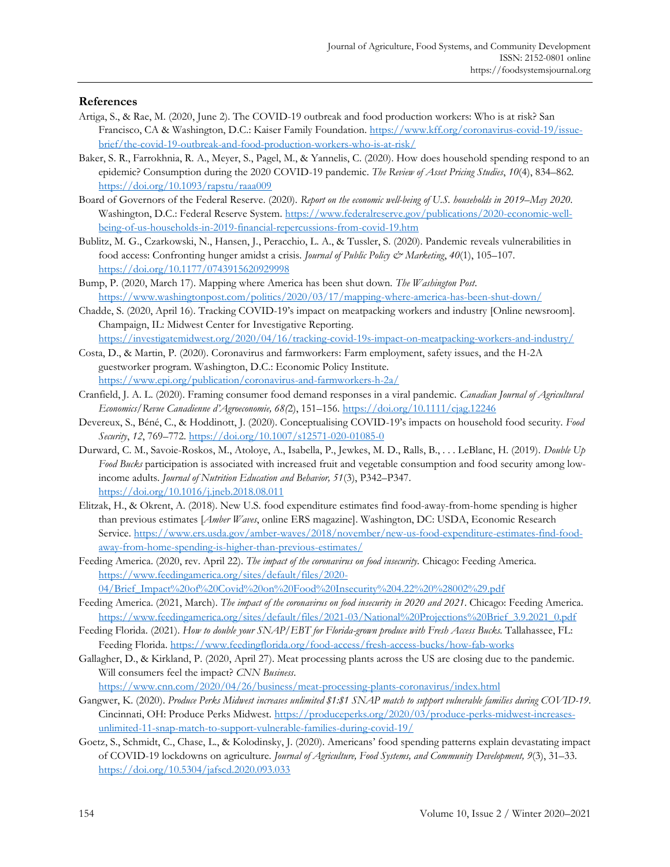#### **References**

- Artiga, S., & Rae, M. (2020, June 2). The COVID-19 outbreak and food production workers: Who is at risk? San Francisco, CA & Washington, D.C.: Kaiser Family Foundation. https://www.kff.org/coronavirus-covid-19/issuebrief/the-covid-19-outbreak-and-food-production-workers-who-is-at-risk/
- Baker, S. R., Farrokhnia, R. A., Meyer, S., Pagel, M., & Yannelis, C. (2020). How does household spending respond to an epidemic? Consumption during the 2020 COVID-19 pandemic. *The Review of Asset Pricing Studies*, *10*(4), 834–862*.* https://doi.org/10.1093/rapstu/raaa009
- Board of Governors of the Federal Reserve. (2020). *Report on the economic well-being of U.S. households in 2019–May 2020*. Washington, D.C.: Federal Reserve System. https://www.federalreserve.gov/publications/2020-economic-wellbeing-of-us-households-in-2019-financial-repercussions-from-covid-19.htm
- Bublitz, M. G., Czarkowski, N., Hansen, J., Peracchio, L. A., & Tussler, S. (2020). Pandemic reveals vulnerabilities in food access: Confronting hunger amidst a crisis. *Journal of Public Policy & Marketing*, *40*(1), 105–107. https://doi.org/10.1177/0743915620929998
- Bump, P. (2020, March 17). Mapping where America has been shut down. *The Washington Post*. https://www.washingtonpost.com/politics/2020/03/17/mapping-where-america-has-been-shut-down/

Chadde, S. (2020, April 16). Tracking COVID-19's impact on meatpacking workers and industry [Online newsroom]. Champaign, IL: Midwest Center for Investigative Reporting.

https://investigatemidwest.org/2020/04/16/tracking-covid-19s-impact-on-meatpacking-workers-and-industry/ Costa, D., & Martin, P. (2020). Coronavirus and farmworkers: Farm employment, safety issues, and the H-2A

- guestworker program. Washington, D.C.: Economic Policy Institute. https://www.epi.org/publication/coronavirus-and-farmworkers-h-2a/
- Cranfield, J. A. L. (2020). Framing consumer food demand responses in a viral pandemic. *Canadian Journal of Agricultural Economics/Revue Canadienne d'Agroeconomie, 68(*2), 151–156. https://doi.org/10.1111/cjag.12246
- Devereux, S., Béné, C., & Hoddinott, J. (2020). Conceptualising COVID-19's impacts on household food security. *Food Security*, *12*, 769–772. https://doi.org/10.1007/s12571-020-01085-0
- Durward, C. M., Savoie-Roskos, M., Atoloye, A., Isabella, P., Jewkes, M. D., Ralls, B., . . . LeBlanc, H. (2019). *Double Up Food Bucks* participation is associated with increased fruit and vegetable consumption and food security among lowincome adults. *Journal of Nutrition Education and Behavior, 51*(3), P342–P347. https://doi.org/10.1016/j.jneb.2018.08.011
- Elitzak, H., & Okrent, A. (2018). New U.S. food expenditure estimates find food-away-from-home spending is higher than previous estimates [*Amber Waves*, online ERS magazine]. Washington, DC: USDA, Economic Research Service. [https://www.ers.usda.gov/amber-waves/2018/november/new-us-food-expenditure-estimates-find-food](https://www.ers.usda.gov/amber-waves/2018/november/new-us-food-expenditure-estimates-find-food-away-from-home-spending-is-higher-than-previous-estimates/)away-from-home-spending-is-higher-than-previous-estimates/
- Feeding America. (2020, rev. April 22). *The impact of the coronavirus on food insecurity.* Chicago: Feeding America. https://www.feedingamerica.org/sites/default/files/2020-

04/Brief\_Impact%20of%20Covid%20on%20Food%20Insecurity%204.22%20%28002%29.pdf

- Feeding America. (2021, March). *The impact of the coronavirus on food insecurity in 2020 and 2021*. Chicago: Feeding America. https://www.feedingamerica.org/sites/default/files/2021-03/National%20Projections%20Brief\_3.9.2021\_0.pdf
- Feeding Florida. (2021). *How to double your SNAP/EBT for Florida-grown produce with Fresh Access Bucks.* Tallahassee, FL: Feeding Florida. https://www.feedingflorida.org/food-access/fresh-access-bucks/how-fab-works
- Gallagher, D., & Kirkland, P. (2020, April 27). Meat processing plants across the US are closing due to the pandemic. Will consumers feel the impact? *CNN Business*.

https://www.cnn.com/2020/04/26/business/meat-processing-plants-coronavirus/index.html

- Gangwer, K. (2020). *Produce Perks Midwest increases unlimited \$1:\$1 SNAP match to support vulnerable families during COVID-19*. Cincinnati, OH: Produce Perks Midwest. https://produceperks.org/2020/03/produce-perks-midwest-increasesunlimited-11-snap-match-to-support-vulnerable-families-during-covid-19/
- Goetz, S., Schmidt, C., Chase, L., & Kolodinsky, J. (2020). Americans' food spending patterns explain devastating impact of COVID-19 lockdowns on agriculture. *Journal of Agriculture, Food Systems, and Community Development, 9*(3), 31–33. https://doi.org/10.5304/jafscd.2020.093.033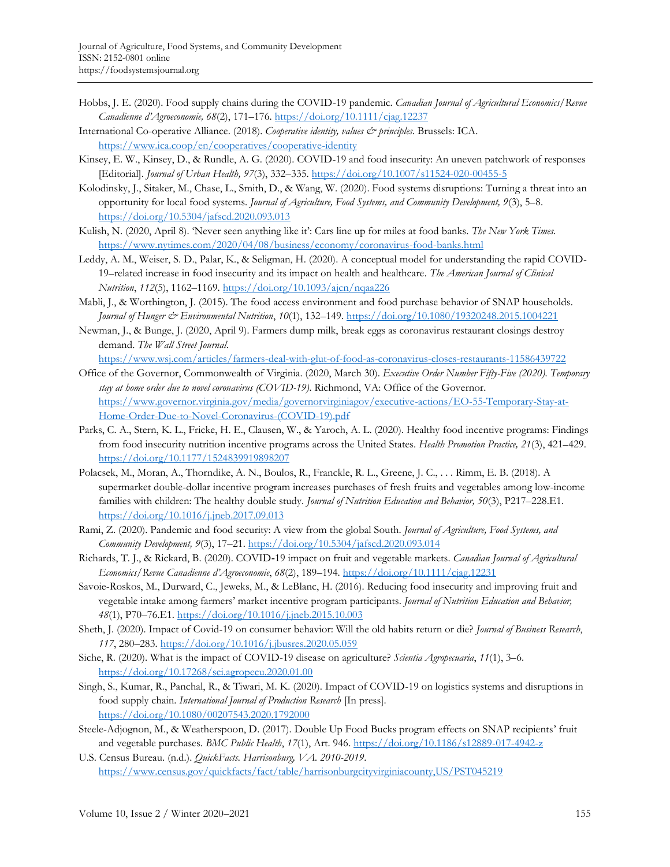- Hobbs, J. E. (2020). Food supply chains during the COVID-19 pandemic. *Canadian Journal of Agricultural Economics/Revue Canadienne d'Agroeconomie, 68*(2), 171–176. https://doi.org/10.1111/cjag.12237
- International Co-operative Alliance. (2018). *Cooperative identity, values & principles*. Brussels: ICA. https://www.ica.coop/en/cooperatives/cooperative-identity
- Kinsey, E. W., Kinsey, D., & Rundle, A. G. (2020). COVID-19 and food insecurity: An uneven patchwork of responses [Editorial]. *Journal of Urban Health, 97*(3), 332–335. https://doi.org/10.1007/s11524-020-00455-5
- Kolodinsky, J., Sitaker, M., Chase, L., Smith, D., & Wang, W. (2020). Food systems disruptions: Turning a threat into an opportunity for local food systems. *Journal of Agriculture, Food Systems, and Community Development, 9*(3), 5–8. https://doi.org/10.5304/jafscd.2020.093.013
- Kulish, N. (2020, April 8). 'Never seen anything like it': Cars line up for miles at food banks. *The New York Times*. https://www.nytimes.com/2020/04/08/business/economy/coronavirus-food-banks.html
- Leddy, A. M., Weiser, S. D., Palar, K., & Seligman, H. (2020). A conceptual model for understanding the rapid COVID-19–related increase in food insecurity and its impact on health and healthcare. *The American Journal of Clinical Nutrition*, *112*(5), 1162–1169. https://doi.org/10.1093/ajcn/nqaa226
- Mabli, J., & Worthington, J. (2015). The food access environment and food purchase behavior of SNAP households. *Journal of Hunger & Environmental Nutrition*, *10*(1), 132–149. https://doi.org/10.1080/19320248.2015.1004221
- Newman, J., & Bunge, J. (2020, April 9). Farmers dump milk, break eggs as coronavirus restaurant closings destroy demand. *The Wall Street Journal*.

https://www.wsj.com/articles/farmers-deal-with-glut-of-food-as-coronavirus-closes-restaurants-11586439722

- Office of the Governor, Commonwealth of Virginia. (2020, March 30). *Executive Order Number Fifty-Five (2020). Temporary stay at home order due to novel coronavirus (COVID-19)*. Richmond, VA: Office of the Governor. [https://www.governor.virginia.gov/media/governorvirginiagov/executive-actions/EO-55-Temporary-Stay-at-](https://www.governor.virginia.gov/media/governorvirginiagov/executive-actions/EO-55-Temporary-Stay-at-Home-Order-Due-to-Novel-Coronavirus-(COVID-19).pdf)Home-Order-Due-to-Novel-Coronavirus-(COVID-19).pdf
- Parks, C. A., Stern, K. L., Fricke, H. E., Clausen, W., & Yaroch, A. L. (2020). Healthy food incentive programs: Findings from food insecurity nutrition incentive programs across the United States. *Health Promotion Practice, 21*(3), 421–429. https://doi.org/10.1177/1524839919898207
- Polacsek, M., Moran, A., Thorndike, A. N., Boulos, R., Franckle, R. L., Greene, J. C., . . . Rimm, E. B. (2018). A supermarket double-dollar incentive program increases purchases of fresh fruits and vegetables among low-income families with children: The healthy double study. *Journal of Nutrition Education and Behavior, 50*(3), P217–228.E1. https://doi.org/10.1016/j.jneb.2017.09.013
- Rami, Z. (2020). Pandemic and food security: A view from the global South. *Journal of Agriculture, Food Systems, and Community Development, 9*(3), 17–21. https://doi.org/10.5304/jafscd.2020.093.014
- Richards, T. J., & Rickard, B. (2020). COVID‐19 impact on fruit and vegetable markets. *Canadian Journal of Agricultural Economics/Revue Canadienne d'Agroeconomie*, *68*(2), 189–194. https://doi.org/10.1111/cjag.12231
- Savoie-Roskos, M., Durward, C., Jeweks, M., & LeBlanc, H. (2016). Reducing food insecurity and improving fruit and vegetable intake among farmers' market incentive program participants. *Journal of Nutrition Education and Behavior, 48*(1), P70–76.E1. https://doi.org/10.1016/j.jneb.2015.10.003
- Sheth, J. (2020). Impact of Covid-19 on consumer behavior: Will the old habits return or die? *Journal of Business Research*, *117*, 280–283. https://doi.org/10.1016/j.jbusres.2020.05.059
- Siche, R. (2020). What is the impact of COVID-19 disease on agriculture? *Scientia Agropecuaria*, *11*(1), 3–6. https://doi.org/10.17268/sci.agropecu.2020.01.00
- Singh, S., Kumar, R., Panchal, R., & Tiwari, M. K. (2020). Impact of COVID-19 on logistics systems and disruptions in food supply chain. *International Journal of Production Research* [In press]. https://doi.org/10.1080/00207543.2020.1792000
- Steele-Adjognon, M., & Weatherspoon, D. (2017). Double Up Food Bucks program effects on SNAP recipients' fruit and vegetable purchases. *BMC Public Health*, *17*(1), Art. 946. https://doi.org/10.1186/s12889-017-4942-z
- U.S. Census Bureau. (n.d.). *QuickFacts. Harrisonburg, VA. 2010-2019*. https://www.census.gov/quickfacts/fact/table/harrisonburgcityvirginiacounty,US/PST045219